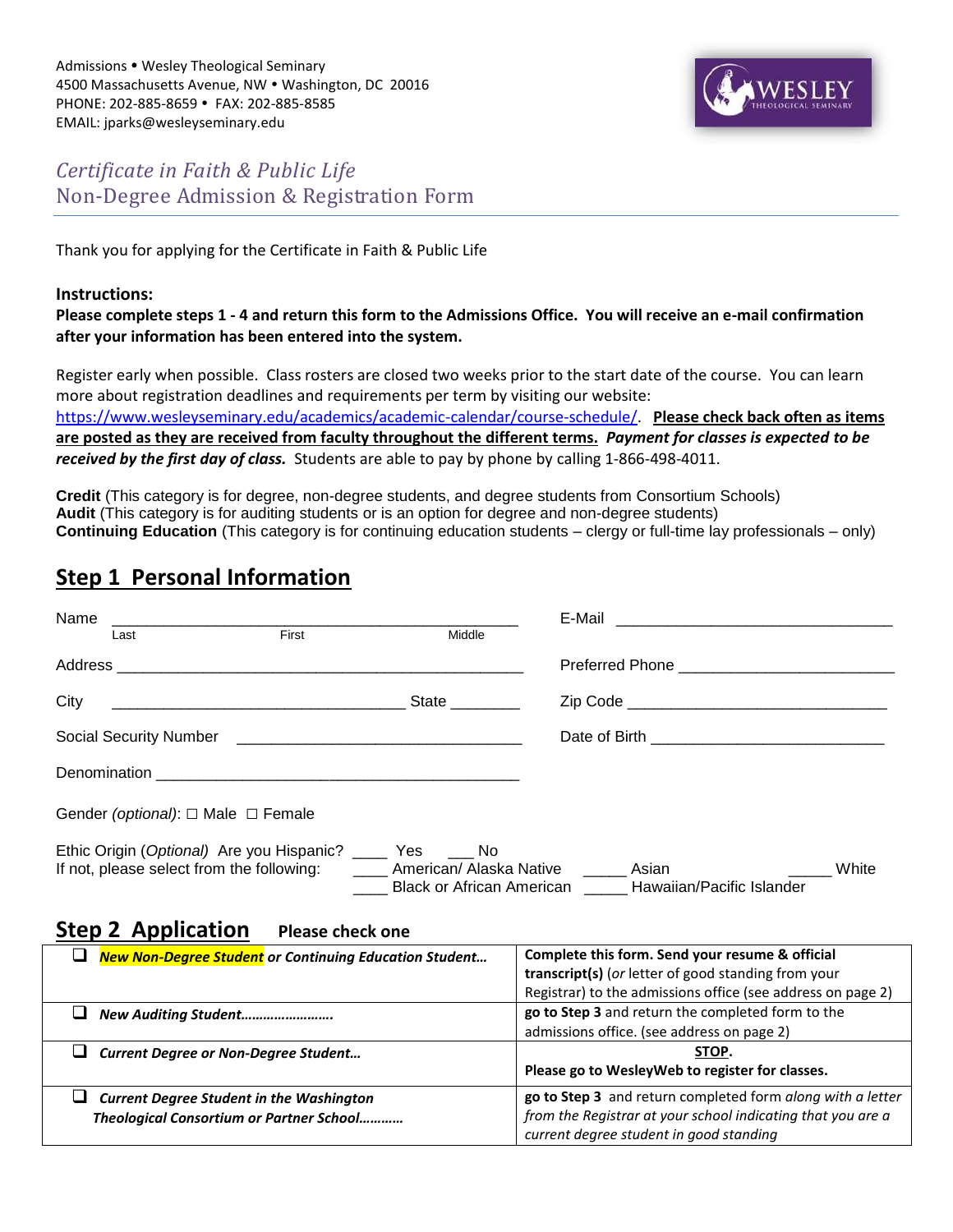

### *Certificate in Faith & Public Life* Non-Degree Admission & Registration Form

Thank you for applying for the Certificate in Faith & Public Life

#### **Instructions:**

**Please complete steps 1 - 4 and return this form to the Admissions Office. You will receive an e-mail confirmation after your information has been entered into the system.** 

Register early when possible. Class rosters are closed two weeks prior to the start date of the course. You can learn more about registration deadlines and requirements per term by visiting our website: [https://www.wesleyseminary.edu/academics/academic-calendar/course-schedule/.](https://www.wesleyseminary.edu/academics/academic-calendar/course-schedule/) **Please check back often as items are posted as they are received from faculty throughout the different terms.** *Payment for classes is expected to be received by the first day of class.* Students are able to pay by phone by calling 1-866-498-4011.

**Credit** (This category is for degree, non-degree students, and degree students from Consortium Schools) **Audit** (This category is for auditing students or is an option for degree and non-degree students) **Continuing Education** (This category is for continuing education students – clergy or full-time lay professionals – only)

## **Step 1 Personal Information**

| Name                                                                                                                                                                                                                 | Last                                         | First | Middle |  |  |  |  |  |
|----------------------------------------------------------------------------------------------------------------------------------------------------------------------------------------------------------------------|----------------------------------------------|-------|--------|--|--|--|--|--|
|                                                                                                                                                                                                                      |                                              |       |        |  |  |  |  |  |
| City                                                                                                                                                                                                                 |                                              |       | State  |  |  |  |  |  |
|                                                                                                                                                                                                                      |                                              |       |        |  |  |  |  |  |
|                                                                                                                                                                                                                      |                                              |       |        |  |  |  |  |  |
|                                                                                                                                                                                                                      | Gender (optional): $\Box$ Male $\Box$ Female |       |        |  |  |  |  |  |
| Ethic Origin (Optional) Are you Hispanic? _____<br>Yes No<br>American/ Alaska Native<br>If not, please select from the following:<br>White<br>Asian<br><b>Black or African American</b><br>Hawaiian/Pacific Islander |                                              |       |        |  |  |  |  |  |

### **Step 2 Application Please check one**

| <b>New Non-Degree Student</b> or Continuing Education Student | Complete this form. Send your resume & official                                                        |  |  |
|---------------------------------------------------------------|--------------------------------------------------------------------------------------------------------|--|--|
|                                                               | transcript(s) (or letter of good standing from your                                                    |  |  |
|                                                               | Registrar) to the admissions office (see address on page 2)                                            |  |  |
| New Auditing Student                                          | go to Step 3 and return the completed form to the                                                      |  |  |
|                                                               | admissions office. (see address on page 2)                                                             |  |  |
|                                                               | STOP.                                                                                                  |  |  |
| <b>Current Degree or Non-Degree Student</b>                   |                                                                                                        |  |  |
|                                                               | Please go to WesleyWeb to register for classes.                                                        |  |  |
| <b>Current Degree Student in the Washington</b>               | go to Step 3 and return completed form along with a letter                                             |  |  |
| Theological Consortium or Partner School                      | from the Registrar at your school indicating that you are a<br>current degree student in good standing |  |  |